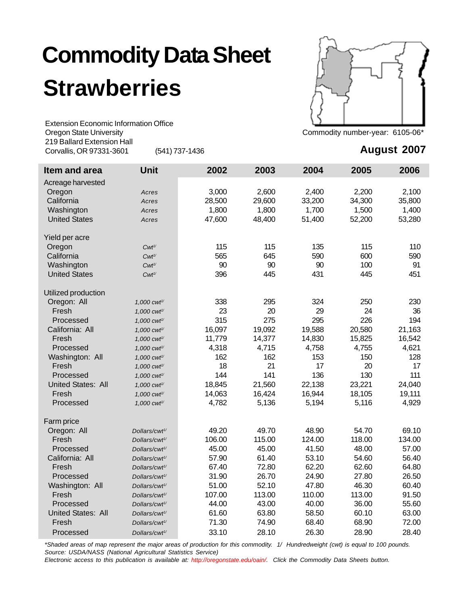## **Commodity Data Sheet Strawberries**

Extension Economic Information Office Oregon State University **Commodity number-year: 6105-06\*** Commodity number-year: 6105-06\* 219 Ballard Extension Hall Corvallis, OR 97331-3601 (541) 737-1436



## **August 2007**

| Item and area             | <b>Unit</b>               | 2002   | 2003   | 2004   | 2005   | 2006   |
|---------------------------|---------------------------|--------|--------|--------|--------|--------|
| Acreage harvested         |                           |        |        |        |        |        |
| Oregon                    | Acres                     | 3,000  | 2,600  | 2,400  | 2,200  | 2,100  |
| California                | Acres                     | 28,500 | 29,600 | 33,200 | 34,300 | 35,800 |
| Washington                | Acres                     | 1,800  | 1,800  | 1,700  | 1,500  | 1,400  |
| <b>United States</b>      | Acres                     | 47,600 | 48,400 | 51,400 | 52,200 | 53,280 |
| Yield per acre            |                           |        |        |        |        |        |
| Oregon                    | $Cwt^{\gamma}$            | 115    | 115    | 135    | 115    | 110    |
| California                | $Cwt^{\gamma}$            | 565    | 645    | 590    | 600    | 590    |
| Washington                | $Cwt^{\gamma}$            | 90     | 90     | 90     | 100    | 91     |
| <b>United States</b>      | $Cwt^{\frac{1}{2}}$       | 396    | 445    | 431    | 445    | 451    |
| Utilized production       |                           |        |        |        |        |        |
| Oregon: All               | 1,000 cwt <sup>1/</sup>   | 338    | 295    | 324    | 250    | 230    |
| Fresh                     | 1,000 cwt <sup>1/</sup>   | 23     | 20     | 29     | 24     | 36     |
| Processed                 | 1,000 cwt <sup>1/</sup>   | 315    | 275    | 295    | 226    | 194    |
| California: All           | 1,000 cwt <sup>1/</sup>   | 16,097 | 19,092 | 19,588 | 20,580 | 21,163 |
| Fresh                     | 1,000 cwt <sup>1/</sup>   | 11,779 | 14,377 | 14,830 | 15,825 | 16,542 |
| Processed                 | 1,000 cwt <sup>1/</sup>   | 4,318  | 4,715  | 4,758  | 4,755  | 4,621  |
| Washington: All           | 1,000 cwt <sup>1/</sup>   | 162    | 162    | 153    | 150    | 128    |
| Fresh                     | 1,000 cwt <sup>1/</sup>   | 18     | 21     | 17     | 20     | 17     |
| Processed                 | 1,000 cwt <sup>1/</sup>   | 144    | 141    | 136    | 130    | 111    |
| <b>United States: All</b> | 1,000 cwt <sup>1/</sup>   | 18,845 | 21,560 | 22,138 | 23,221 | 24,040 |
| Fresh                     | 1,000 cwt <sup>1/</sup>   | 14,063 | 16,424 | 16,944 | 18,105 | 19,111 |
| Processed                 | 1,000 cwt <sup>1/</sup>   | 4,782  | 5,136  | 5,194  | 5,116  | 4,929  |
| Farm price                |                           |        |        |        |        |        |
| Oregon: All               | Dollars/cwt <sup>1/</sup> | 49.20  | 49.70  | 48.90  | 54.70  | 69.10  |
| Fresh                     | Dollars/cwt <sup>1/</sup> | 106.00 | 115.00 | 124.00 | 118.00 | 134.00 |
| Processed                 | Dollars/cwt <sup>1/</sup> | 45.00  | 45.00  | 41.50  | 48.00  | 57.00  |
| California: All           | Dollars/cwt <sup>1/</sup> | 57.90  | 61.40  | 53.10  | 54.60  | 56.40  |
| Fresh                     | Dollars/cwt <sup>1/</sup> | 67.40  | 72.80  | 62.20  | 62.60  | 64.80  |
| Processed                 | Dollars/cwt <sup>1/</sup> | 31.90  | 26.70  | 24.90  | 27.80  | 26.50  |
| Washington: All           | Dollars/cwt <sup>1/</sup> | 51.00  | 52.10  | 47.80  | 46.30  | 60.40  |
| Fresh                     | Dollars/cwt <sup>1/</sup> | 107.00 | 113.00 | 110.00 | 113.00 | 91.50  |
| Processed                 | Dollars/cwt <sup>1/</sup> | 44.00  | 43.00  | 40.00  | 36.00  | 55.60  |
| United States: All        | Dollars/cwt <sup>1/</sup> | 61.60  | 63.80  | 58.50  | 60.10  | 63.00  |
| Fresh                     | Dollars/cwt <sup>1/</sup> | 71.30  | 74.90  | 68.40  | 68.90  | 72.00  |
| Processed                 | Dollars/cwt <sup>1/</sup> | 33.10  | 28.10  | 26.30  | 28.90  | 28.40  |

*\*Shaded areas of map represent the major areas of production for this commodity. 1/ Hundredweight (cwt) is equal to 100 pounds. Source: USDA/NASS (National Agricultural Statistics Service)*

*Electronic access to this publication is available at: http://oregonstate.edu/oain/. Click the Commodity Data Sheets button.*